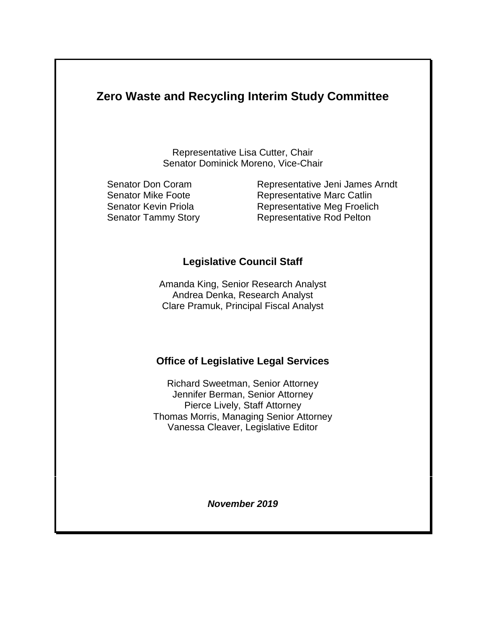# **Zero Waste and Recycling Interim Study Committee**

Representative Lisa Cutter, Chair Senator Dominick Moreno, Vice-Chair

Senator Don Coram Representative Jeni James Arndt Senator Mike Foote **Representative Marc Catlin** Senator Kevin Priola Representative Meg Froelich Senator Tammy Story Representative Rod Pelton

### **Legislative Council Staff**

Amanda King, Senior Research Analyst Andrea Denka, Research Analyst Clare Pramuk, Principal Fiscal Analyst

### **Office of Legislative Legal Services**

Richard Sweetman, Senior Attorney Jennifer Berman, Senior Attorney Pierce Lively, Staff Attorney Thomas Morris, Managing Senior Attorney Vanessa Cleaver, Legislative Editor

*November 2019*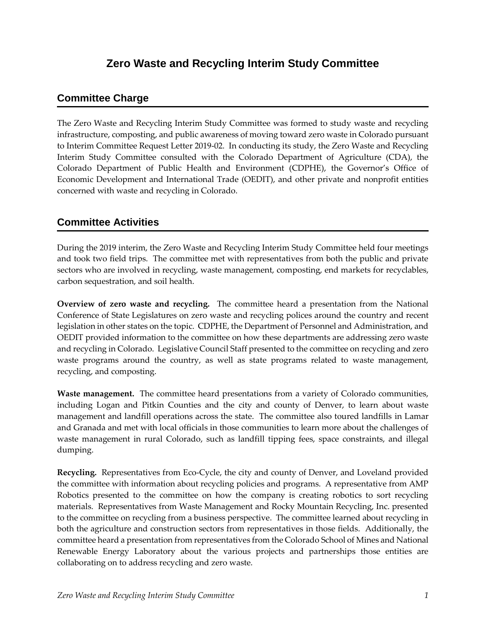## **Zero Waste and Recycling Interim Study Committee**

#### **Committee Charge**

The Zero Waste and Recycling Interim Study Committee was formed to study waste and recycling infrastructure, composting, and public awareness of moving toward zero waste in Colorado pursuant to Interim Committee Request Letter 2019-02. In conducting its study, the Zero Waste and Recycling Interim Study Committee consulted with the Colorado Department of Agriculture (CDA), the Colorado Department of Public Health and Environment (CDPHE), the Governor's Office of Economic Development and International Trade (OEDIT), and other private and nonprofit entities concerned with waste and recycling in Colorado.

### **Committee Activities**

During the 2019 interim, the Zero Waste and Recycling Interim Study Committee held four meetings and took two field trips. The committee met with representatives from both the public and private sectors who are involved in recycling, waste management, composting, end markets for recyclables, carbon sequestration, and soil health.

**Overview of zero waste and recycling.** The committee heard a presentation from the National Conference of State Legislatures on zero waste and recycling polices around the country and recent legislation in other states on the topic. CDPHE, the Department of Personnel and Administration, and OEDIT provided information to the committee on how these departments are addressing zero waste and recycling in Colorado. Legislative Council Staff presented to the committee on recycling and zero waste programs around the country, as well as state programs related to waste management, recycling, and composting.

**Waste management.** The committee heard presentations from a variety of Colorado communities, including Logan and Pitkin Counties and the city and county of Denver, to learn about waste management and landfill operations across the state. The committee also toured landfills in Lamar and Granada and met with local officials in those communities to learn more about the challenges of waste management in rural Colorado, such as landfill tipping fees, space constraints, and illegal dumping.

**Recycling.**Representatives from Eco-Cycle, the city and county of Denver, and Loveland provided the committee with information about recycling policies and programs. A representative from AMP Robotics presented to the committee on how the company is creating robotics to sort recycling materials. Representatives from Waste Management and Rocky Mountain Recycling, Inc. presented to the committee on recycling from a business perspective. The committee learned about recycling in both the agriculture and construction sectors from representatives in those fields. Additionally, the committee heard a presentation from representatives from the Colorado School of Mines and National Renewable Energy Laboratory about the various projects and partnerships those entities are collaborating on to address recycling and zero waste.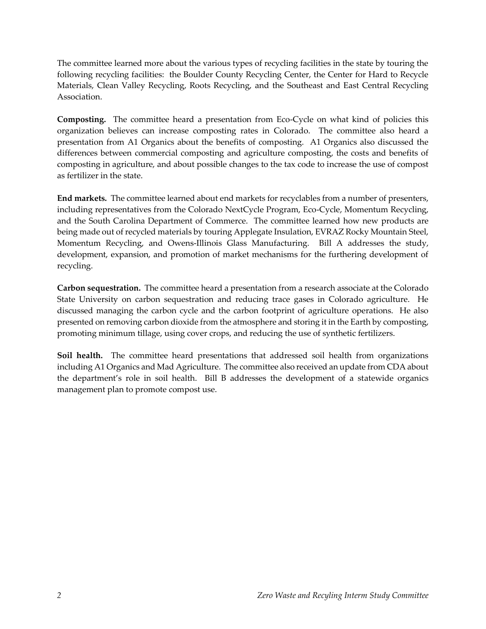The committee learned more about the various types of recycling facilities in the state by touring the following recycling facilities: the Boulder County Recycling Center, the Center for Hard to Recycle Materials, Clean Valley Recycling, Roots Recycling, and the Southeast and East Central Recycling Association.

**Composting.** The committee heard a presentation from Eco-Cycle on what kind of policies this organization believes can increase composting rates in Colorado. The committee also heard a presentation from A1 Organics about the benefits of composting. A1 Organics also discussed the differences between commercial composting and agriculture composting, the costs and benefits of composting in agriculture, and about possible changes to the tax code to increase the use of compost as fertilizer in the state.

**End markets.** The committee learned about end markets for recyclables from a number of presenters, including representatives from the Colorado NextCycle Program, Eco-Cycle, Momentum Recycling, and the South Carolina Department of Commerce. The committee learned how new products are being made out of recycled materials by touring Applegate Insulation, EVRAZ Rocky Mountain Steel, Momentum Recycling, and Owens-Illinois Glass Manufacturing. Bill A addresses the study, development, expansion, and promotion of market mechanisms for the furthering development of recycling.

**Carbon sequestration.** The committee heard a presentation from a research associate at the Colorado State University on carbon sequestration and reducing trace gases in Colorado agriculture. He discussed managing the carbon cycle and the carbon footprint of agriculture operations. He also presented on removing carbon dioxide from the atmosphere and storing it in the Earth by composting, promoting minimum tillage, using cover crops, and reducing the use of synthetic fertilizers.

**Soil health.** The committee heard presentations that addressed soil health from organizations including A1 Organics and Mad Agriculture. The committee also received an update from CDA about the department's role in soil health. Bill B addresses the development of a statewide organics management plan to promote compost use.